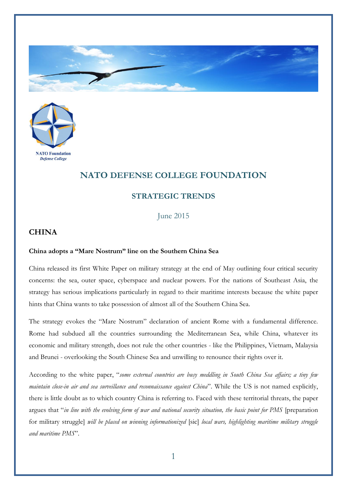



## **NATO DEFENSE COLLEGE FOUNDATION**

## **STRATEGIC TRENDS**

June 2015

## **CHINA**

## **China adopts a "Mare Nostrum" line on the Southern China Sea**

China released its first White Paper on military strategy at the end of May outlining four critical security concerns: the sea, outer space, cyberspace and nuclear powers. For the nations of Southeast Asia, the strategy has serious implications particularly in regard to their maritime interests because the white paper hints that China wants to take possession of almost all of the Southern China Sea.

The strategy evokes the "Mare Nostrum" declaration of ancient Rome with a fundamental difference. Rome had subdued all the countries surrounding the Mediterranean Sea, while China, whatever its economic and military strength, does not rule the other countries - like the Philippines, Vietnam, Malaysia and Brunei - overlooking the South Chinese Sea and unwilling to renounce their rights over it.

According to the white paper, "*some external countries are busy meddling in South China Sea affairs; a tiny few maintain close-in air and sea surveillance and reconnaissance against China*". While the US is not named explicitly, there is little doubt as to which country China is referring to. Faced with these territorial threats, the paper argues that "*in line with the evolving form of war and national security situation, the basic point for PMS* [preparation for military struggle] *will be placed on winning informationized* [sic] *local wars, highlighting maritime military struggle and maritime PMS*".